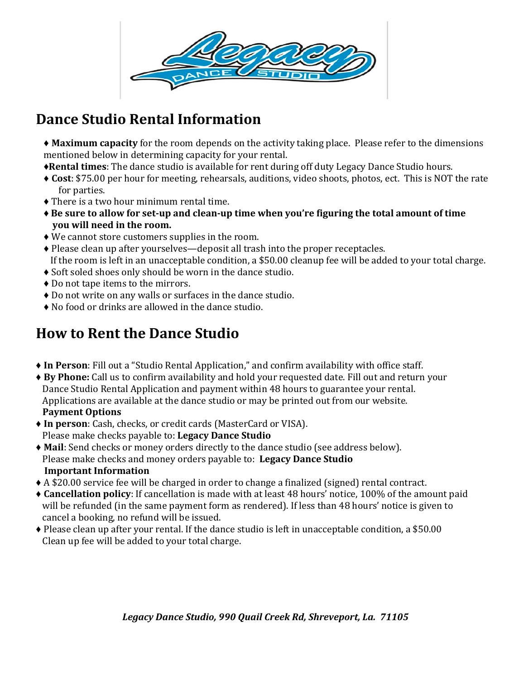

## **Dance Studio Rental Information**

♦ **Maximum capacity** for the room depends on the activity taking place. Please refer to the dimensions mentioned below in determining capacity for your rental.

- ♦**Rental times**: The dance studio is available for rent during off duty Legacy Dance Studio hours.
- ♦ **Cost**: \$75.00 per hour for meeting, rehearsals, auditions, video shoots, photos, ect. This is NOT the rate for parties.
- ♦ There is a two hour minimum rental time.
- ♦ **Be sure to allow for set-up and clean-up time when you're figuring the total amount of time you will need in the room.**
- ♦ We cannot store customers supplies in the room.
- ♦ Please clean up after yourselves—deposit all trash into the proper receptacles. If the room is left in an unacceptable condition, a \$50.00 cleanup fee will be added to your total charge.
- ♦ Soft soled shoes only should be worn in the dance studio.
- ♦ Do not tape items to the mirrors.
- ♦ Do not write on any walls or surfaces in the dance studio.
- ♦ No food or drinks are allowed in the dance studio.

## **How to Rent the Dance Studio**

- ♦ **In Person**: Fill out a "Studio Rental Application," and confirm availability with office staff.
- ♦ **By Phone:** Call us to confirm availability and hold your requested date. Fill out and return your Dance Studio Rental Application and payment within 48 hours to guarantee your rental. Applications are available at the dance studio or may be printed out from our website.  **Payment Options**
- ♦ **In person**: Cash, checks, or credit cards (MasterCard or VISA). Please make checks payable to: **Legacy Dance Studio**
- ♦ **Mail**: Send checks or money orders directly to the dance studio (see address below). Please make checks and money orders payable to: **Legacy Dance Studio Important Information**
- ♦ A \$20.00 service fee will be charged in order to change a finalized (signed) rental contract.
- ♦ **Cancellation policy**: If cancellation is made with at least 48 hours' notice, 100% of the amount paid will be refunded (in the same payment form as rendered). If less than 48 hours' notice is given to cancel a booking, no refund will be issued.
- ♦ Please clean up after your rental. If the dance studio is left in unacceptable condition, a \$50.00 Clean up fee will be added to your total charge.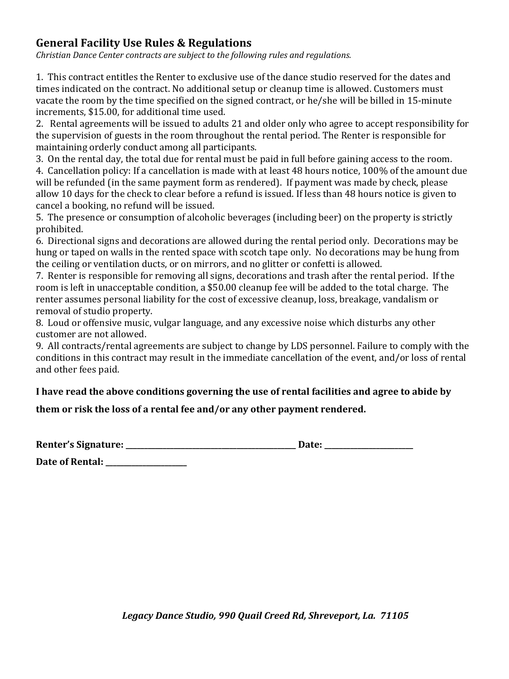## **General Facility Use Rules & Regulations**

*Christian Dance Center contracts are subject to the following rules and regulations.*

1. This contract entitles the Renter to exclusive use of the dance studio reserved for the dates and times indicated on the contract. No additional setup or cleanup time is allowed. Customers must vacate the room by the time specified on the signed contract, or he/she will be billed in 15-minute increments, \$15.00, for additional time used.

2. Rental agreements will be issued to adults 21 and older only who agree to accept responsibility for the supervision of guests in the room throughout the rental period. The Renter is responsible for maintaining orderly conduct among all participants.

3. On the rental day, the total due for rental must be paid in full before gaining access to the room.

4. Cancellation policy: If a cancellation is made with at least 48 hours notice, 100% of the amount due will be refunded (in the same payment form as rendered). If payment was made by check, please allow 10 days for the check to clear before a refund is issued. If less than 48 hours notice is given to cancel a booking, no refund will be issued.

5. The presence or consumption of alcoholic beverages (including beer) on the property is strictly prohibited.

6. Directional signs and decorations are allowed during the rental period only. Decorations may be hung or taped on walls in the rented space with scotch tape only. No decorations may be hung from the ceiling or ventilation ducts, or on mirrors, and no glitter or confetti is allowed.

7. Renter is responsible for removing all signs, decorations and trash after the rental period. If the room is left in unacceptable condition, a \$50.00 cleanup fee will be added to the total charge. The renter assumes personal liability for the cost of excessive cleanup, loss, breakage, vandalism or removal of studio property.

8. Loud or offensive music, vulgar language, and any excessive noise which disturbs any other customer are not allowed.

9. All contracts/rental agreements are subject to change by LDS personnel. Failure to comply with the conditions in this contract may result in the immediate cancellation of the event, and/or loss of rental and other fees paid.

**I have read the above conditions governing the use of rental facilities and agree to abide by** 

**them or risk the loss of a rental fee and/or any other payment rendered.** 

| <b>Renter's Signature:</b> |  | <b>Date:</b> |  |
|----------------------------|--|--------------|--|
|----------------------------|--|--------------|--|

**Date of Rental: \_\_\_\_\_\_\_\_\_\_\_\_\_\_\_\_\_\_\_\_\_\_**